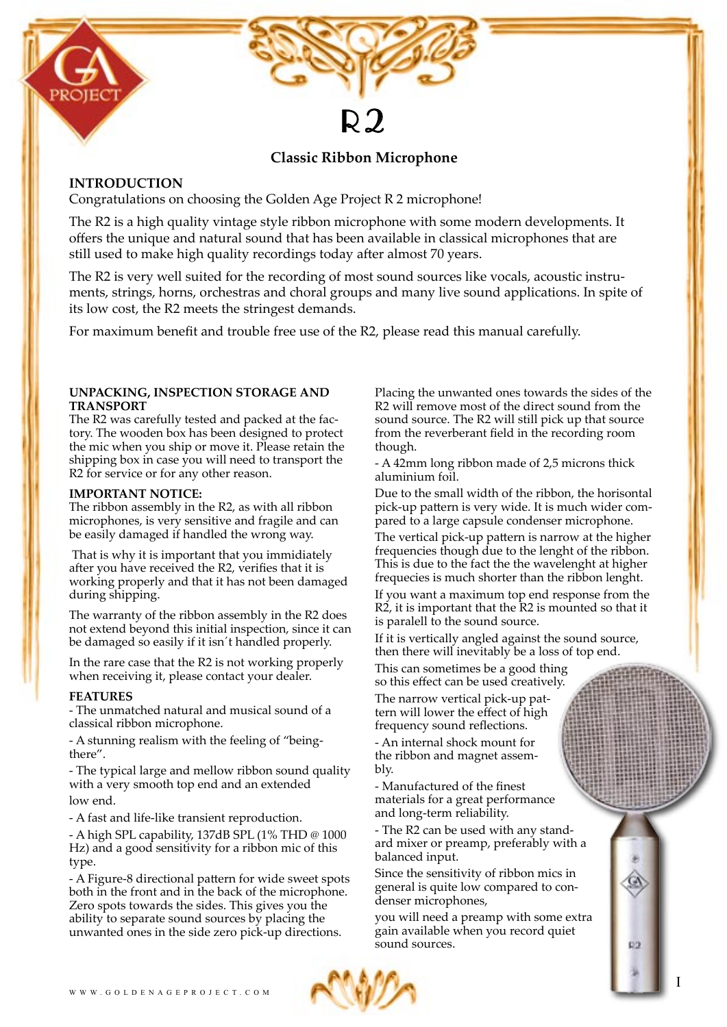

# **Classic Ribbon Microphone**

 $\mathsf{Q}$ 

## **INTRODUCTION**

Congratulations on choosing the Golden Age Project R 2 microphone!

The R2 is a high quality vintage style ribbon microphone with some modern developments. It offers the unique and natural sound that has been available in classical microphones that are still used to make high quality recordings today after almost 70 years.

The R2 is very well suited for the recording of most sound sources like vocals, acoustic instruments, strings, horns, orchestras and choral groups and many live sound applications. In spite of its low cost, the R2 meets the stringest demands.

For maximum benefit and trouble free use of the R2, please read this manual carefully.

### **UNPACKING, INSPECTION STORAGE AND TRANSPORT**

The R2 was carefully tested and packed at the factory. The wooden box has been designed to protect the mic when you ship or move it. Please retain the shipping box in case you will need to transport the R2 for service or for any other reason.

## **IMPORTANT NOTICE:**

The ribbon assembly in the R2, as with all ribbon microphones, is very sensitive and fragile and can be easily damaged if handled the wrong way.

 That is why it is important that you immidiately after you have received the R2, verifies that it is working properly and that it has not been damaged during shipping.

The warranty of the ribbon assembly in the R2 does not extend beyond this initial inspection, since it can be damaged so easily if it isn´t handled properly.

In the rare case that the R2 is not working properly when receiving it, please contact your dealer.

## **FEATURES**

- The unmatched natural and musical sound of a classical ribbon microphone.

- A stunning realism with the feeling of "beingthere".

- The typical large and mellow ribbon sound quality with a very smooth top end and an extended low end.

- A fast and life-like transient reproduction.

- A high SPL capability, 137dB SPL (1% THD @ 1000 Hz) and a good sensitivity for a ribbon mic of this type.

- A Figure-8 directional pattern for wide sweet spots both in the front and in the back of the microphone. Zero spots towards the sides. This gives you the ability to separate sound sources by placing the unwanted ones in the side zero pick-up directions.

Placing the unwanted ones towards the sides of the R2 will remove most of the direct sound from the sound source. The R2 will still pick up that source from the reverberant field in the recording room though.

- A 42mm long ribbon made of 2,5 microns thick aluminium foil.

Due to the small width of the ribbon, the horisontal pick-up pattern is very wide. It is much wider compared to a large capsule condenser microphone.

The vertical pick-up pattern is narrow at the higher frequencies though due to the lenght of the ribbon. This is due to the fact the the wavelenght at higher frequecies is much shorter than the ribbon lenght.

If you want a maximum top end response from the R2, it is important that the R2 is mounted so that it is paralell to the sound source.

If it is vertically angled against the sound source, then there will inevitably be a loss of top end.

This can sometimes be a good thing so this effect can be used creatively.

The narrow vertical pick-up pattern will lower the effect of high frequency sound reflections.

- An internal shock mount for the ribbon and magnet assembly.

- Manufactured of the finest materials for a great performance and long-term reliability.

- The R2 can be used with any standard mixer or preamp, preferably with a balanced input.

Since the sensitivity of ribbon mics in general is quite low compared to condenser microphones,

you will need a preamp with some extra gain available when you record quiet sound sources.